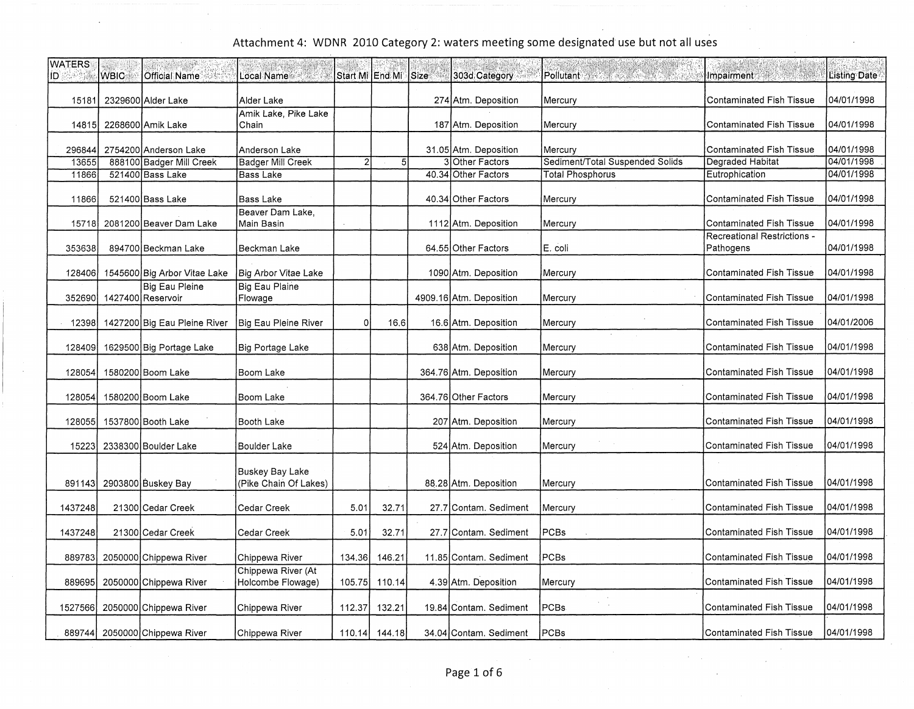÷.

| <b>WATERS</b><br>ID. | <b>WBIC</b> | Official Name                              | Local Name                                      | Start Mi LEnd Mi |               | Size | 303d Category           | Pollutant Alexander Contractor  | Impairment and the state                 | <b>Listing Date</b> |
|----------------------|-------------|--------------------------------------------|-------------------------------------------------|------------------|---------------|------|-------------------------|---------------------------------|------------------------------------------|---------------------|
| 15181                |             | 2329600 Alder Lake                         | Alder Lake                                      |                  |               |      | 274 Atm. Deposition     | Mercury                         | <b>Contaminated Fish Tissue</b>          | 04/01/1998          |
| 14815                |             | 2268600 Amik Lake                          | Amik Lake, Pike Lake<br>Chain                   |                  |               |      | 187 Atm. Deposition     | Mercury                         | <b>Contaminated Fish Tissue</b>          | 04/01/1998          |
| 296844               |             | 2754200 Anderson Lake                      | Anderson Lake                                   |                  |               |      | 31.05 Atm. Deposition   | Mercury                         | <b>Contaminated Fish Tissue</b>          | 04/01/1998          |
| 13655                |             | 888100 Badger Mill Creek                   | <b>Badger Mill Creek</b>                        | $\overline{2}$   | 5             |      | 3 Other Factors         | Sediment/Total Suspended Solids | Degraded Habitat                         | 04/01/1998          |
| 11866                |             | 521400 Bass Lake                           | Bass Lake                                       |                  |               |      | 40.34 Other Factors     | <b>Total Phosphorus</b>         | Eutrophication                           | 04/01/1998          |
| 11866                |             | 521400 Bass Lake                           | Bass Lake                                       |                  |               |      | 40.34 Other Factors     | Mercury                         | <b>Contaminated Fish Tissue</b>          | 04/01/1998          |
| 15718                |             | 2081200 Beaver Dam Lake                    | Beaver Dam Lake.<br>Main Basin                  |                  |               |      | 1112 Atm. Deposition    | Mercury                         | <b>Contaminated Fish Tissue</b>          | 04/01/1998          |
| 353638               |             | 894700 Beckman Lake                        | Beckman Lake                                    |                  |               |      | 64.55 Other Factors     | E. coli                         | Recreational Restrictions -<br>Pathogens | 04/01/1998          |
| 128406               |             | 1545600 Big Arbor Vitae Lake               | Big Arbor Vitae Lake                            |                  |               |      | 1090 Atm. Deposition    | Mercury                         | <b>Contaminated Fish Tissue</b>          | 04/01/1998          |
| 352690               |             | <b>Big Eau Pleine</b><br>1427400 Reservoir | <b>Big Eau Plaine</b><br>Flowage                |                  |               |      | 4909.16 Atm. Deposition | Mercury                         | <b>Contaminated Fish Tissue</b>          | 04/01/1998          |
| 12398                |             | 1427200 Big Eau Pleine River               | Big Eau Pleine River                            | $\Omega$         | 16.6          |      | 16.6 Atm. Deposition    | Mercury                         | Contaminated Fish Tissue                 | 04/01/2006          |
| 128409               |             | 1629500 Big Portage Lake                   | Big Portage Lake                                |                  |               |      | 638 Atm. Deposition     | Mercury                         | <b>Contaminated Fish Tissue</b>          | 04/01/1998          |
| 128054               |             | 1580200 Boom Lake                          | Boom Lake                                       |                  |               |      | 364.76 Atm. Deposition  | Mercury                         | <b>Contaminated Fish Tissue</b>          | 04/01/1998          |
| 128054               |             | 1580200 Boom Lake                          | Boom Lake                                       |                  |               |      | 364.76 Other Factors    | Mercury                         | <b>Contaminated Fish Tissue</b>          | 04/01/1998          |
| 128055               |             | 1537800 Booth Lake                         | Booth Lake                                      |                  |               |      | 207 Atm. Deposition     | Mercury                         | <b>Contaminated Fish Tissue</b>          | 04/01/1998          |
| 15223                |             | 2338300 Boulder Lake                       | Boulder Lake                                    |                  |               |      | 524 Atm. Deposition     | Mercury                         | Contaminated Fish Tissue                 | 04/01/1998          |
| 891143               |             | 2903800 Buskey Bay                         | <b>Buskey Bay Lake</b><br>(Pike Chain Of Lakes) |                  |               |      | 88.28 Atm. Deposition   | Mercury                         | <b>Contaminated Fish Tissue</b>          | 04/01/1998          |
| 1437248              |             | 21300 Cedar Creek                          | Cedar Creek                                     | 5.01             | 32.71         |      | 27.7 Contam, Sediment   | Mercury                         | <b>Contaminated Fish Tissue</b>          | 04/01/1998          |
| 1437248              |             | 21300 Cedar Creek                          | Cedar Creek                                     | 5.01             | 32.71         |      | 27.7 Contam. Sediment   | PCBs                            | <b>Contaminated Fish Tissue</b>          | 04/01/1998          |
| 889783               |             | 2050000 Chippewa River                     | Chippewa River                                  | 134.36           | 146.21        |      | 11.85 Contam. Sediment  | PCBs                            | <b>Contaminated Fish Tissue</b>          | 04/01/1998          |
| 889695               |             | 2050000 Chippewa River                     | Chippewa River (At<br>Holcombe Flowage)         | 105.75           | 110.14        |      | 4.39 Atm. Deposition    | Mercury                         | <b>Contaminated Fish Tissue</b>          | 04/01/1998          |
| 1527566              |             | 2050000 Chippewa River                     | Chippewa River                                  | 112.37           | 132.21        |      | 19.84 Contam, Sediment  | PCBs                            | Contaminated Fish Tissue                 | 04/01/1998          |
| 889744               |             | 2050000 Chippewa River                     | Chippewa River                                  |                  | 110.14 144.18 |      | 34.04 Contam, Sediment  | <b>PCBs</b>                     | <b>Contaminated Fish Tissue</b>          | 04/01/1998          |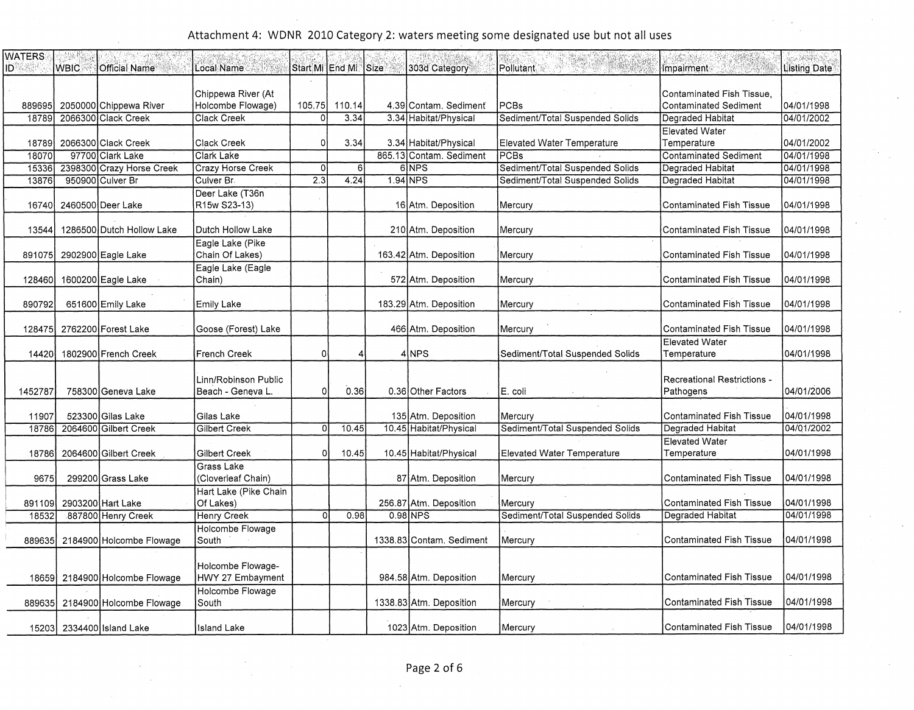| <b>WATERS</b> |             |                                |                                       |          |                      |          |                          |                                   |                                                           |              |
|---------------|-------------|--------------------------------|---------------------------------------|----------|----------------------|----------|--------------------------|-----------------------------------|-----------------------------------------------------------|--------------|
| ּטו           | <b>WBIC</b> | <b>Official Name</b>           | Local Name                            |          | Start Mi End Mi Size |          | 303d Category            | IPollutant ⊚                      | <b>Impairment</b>                                         | Listing Date |
|               |             |                                | Chippewa River (At                    |          |                      |          |                          |                                   |                                                           |              |
| 889695        |             | 2050000 Chippewa River         | Holcombe Flowage)                     | 105.75   | 110.14               |          | 4.39 Contam. Sediment    | <b>PCBs</b>                       | Contaminated Fish Tissue,<br><b>Contaminated Sediment</b> | 04/01/1998   |
| 18789         |             | 2066300 Clack Creek            | Clack Creek                           | $\Omega$ | 3.34                 |          | 3.34 Habitat/Physical    | Sediment/Total Suspended Solids   | Degraded Habitat                                          | 04/01/2002   |
|               |             |                                |                                       |          |                      |          |                          |                                   | Elevated Water                                            |              |
| 18789         |             | 2066300 Clack Creek            | Clack Creek                           | 0        | 3.34                 |          | 3.34 Habitat/Physical    | Elevated Water Temperature        | Temperature                                               | 04/01/2002   |
| 18070         |             | 97700 Clark Lake               | Clark Lake                            |          |                      |          | 865.13 Contam. Sediment  | PCBs                              | <b>Contaminated Sediment</b>                              | 04/01/1998   |
| 15336         |             | 2398300 Crazy Horse Creek      | Crazy Horse Creek                     | 0        | 6 <sup>1</sup>       |          | 6NPS                     | Sediment/Total Suspended Solids   | Degraded Habitat                                          | 04/01/1998   |
| 13876         |             | 950900 Culver Br               | Culver Br.                            | 2.3      | 4.24                 | 1.94 NPS |                          | Sediment/Total Suspended Solids   | <b>Degraded Habitat</b>                                   | 04/01/1998   |
| 16740         |             | 2460500 Deer Lake              | Deer Lake (T36n<br>R15w S23-13)       |          |                      |          | 16 Atm. Deposition       | Mercury                           | <b>Contaminated Fish Tissue</b>                           | 04/01/1998   |
| 13544         |             | 1286500 Dutch Hollow Lake      | Dutch Hollow Lake                     |          |                      |          | 210 Atm. Deposition      | Mercury                           | <b>Contaminated Fish Tissue</b>                           | 04/01/1998   |
| 891075        |             | 2902900 Eagle Lake             | Eagle Lake (Pike<br>Chain Of Lakes)   |          |                      |          | 163.42 Atm. Deposition   | Mercury                           | Contaminated Fish Tissue                                  | 04/01/1998   |
|               |             |                                | Eagle Lake (Eagle                     |          |                      |          |                          |                                   |                                                           |              |
| 128460        |             | 1600200 Eagle Lake             | Chain)                                |          |                      |          | 572 Atm. Deposition      | Mercury                           | Contaminated Fish Tissue                                  | 04/01/1998   |
| 890792        |             | 651600 Emily Lake              | Emily Lake                            |          |                      |          | 183.29 Atm. Deposition   | Mercury                           | <b>Contaminated Fish Tissue</b>                           | 04/01/1998   |
| 128475        |             | 2762200 Forest Lake            | Goose (Forest) Lake                   |          |                      |          | 466 Atm. Deposition      | Mercury                           | <b>Contaminated Fish Tissue</b>                           | 04/01/1998   |
| 14420         |             | 1802900 French Creek           | <b>French Creek</b>                   | 01       | Δ                    |          | 4 INPS                   | Sediment/Total Suspended Solids   | <b>Elevated Water</b><br>Temperature                      | 04/01/1998   |
|               |             |                                | Linn/Robinson Public                  |          |                      |          |                          |                                   | Recreational Restrictions -                               |              |
| 1452787       |             | 758300 Geneva Lake             | Beach - Geneva L.                     | $\Omega$ | 0.36                 |          | 0.36 Other Factors       | E. coli                           | Pathogens                                                 | 04/01/2006   |
| 11907         |             | 523300 Gilas Lake              | Gilas Lake                            |          |                      |          | 135 Atm. Deposition      | Mercury                           | <b>Contaminated Fish Tissue</b>                           | 04/01/1998   |
| 18786         |             | 2064600 Gilbert Creek          | Gilbert Creek                         | οI       | 10.45                |          | 10.45 Habitat/Physical   | Sediment/Total Suspended Solids   | Degraded Habitat                                          | 04/01/2002   |
|               |             |                                |                                       |          |                      |          |                          |                                   | <b>Elevated Water</b>                                     |              |
| 18786         |             | 2064600 Gilbert Creek          | Gilbert Creek                         | $\Omega$ | 10.45                |          | 10.45 Habitat/Physical   | <b>Elevated Water Temperature</b> | Temperature                                               | 04/01/1998   |
| 9675          |             | 299200 Grass Lake              | Grass Lake<br>(Cloverleaf Chain)      |          |                      |          | 87 Atm. Deposition       | Mercury                           | Contaminated Fish Tissue                                  | 04/01/1998   |
|               |             |                                | Hart Lake (Pike Chain                 |          |                      |          |                          |                                   |                                                           |              |
| 891109        |             | 2903200 Hart Lake              | Of Lakes)                             |          |                      |          | 256.87 Atm. Deposition   | Mercury                           | <b>Contaminated Fish Tissue</b>                           | 04/01/1998   |
| 18532         |             | 887800 Henry Creek             | <b>Henry Creek</b>                    | οl       | 0.98                 |          | 0.98 NPS                 | Sediment/Total Suspended Solids   | Degraded Habitat                                          | 04/01/1998   |
| 889635        |             | 2184900 Holcombe Flowage       | Holcombe Flowage<br>South             |          |                      |          | 1338.83 Contam. Sediment | Mercury                           | Contaminated Fish Tissue                                  | 04/01/1998   |
|               |             |                                |                                       |          |                      |          |                          |                                   |                                                           |              |
|               |             | 18659 2184900 Holcombe Flowage | Holcombe Flowage-<br>HWY 27 Embayment |          |                      |          | 984.58 Atm. Deposition   | Mercury                           | Contaminated Fish Tissue                                  | 04/01/1998   |
|               |             |                                | Holcombe Flowage                      |          |                      |          |                          |                                   |                                                           |              |
| 889635        |             | 2184900 Holcombe Flowage       | South                                 |          |                      |          | 1338.83 Atm. Deposition  | Mercury                           | <b>Contaminated Fish Tissue</b>                           | 04/01/1998   |
|               |             | 15203 2334400 Island Lake      | Island Lake                           |          |                      |          | 1023 Atm. Deposition     | Mercury                           | <b>Contaminated Fish Tissue</b>                           | 04/01/1998   |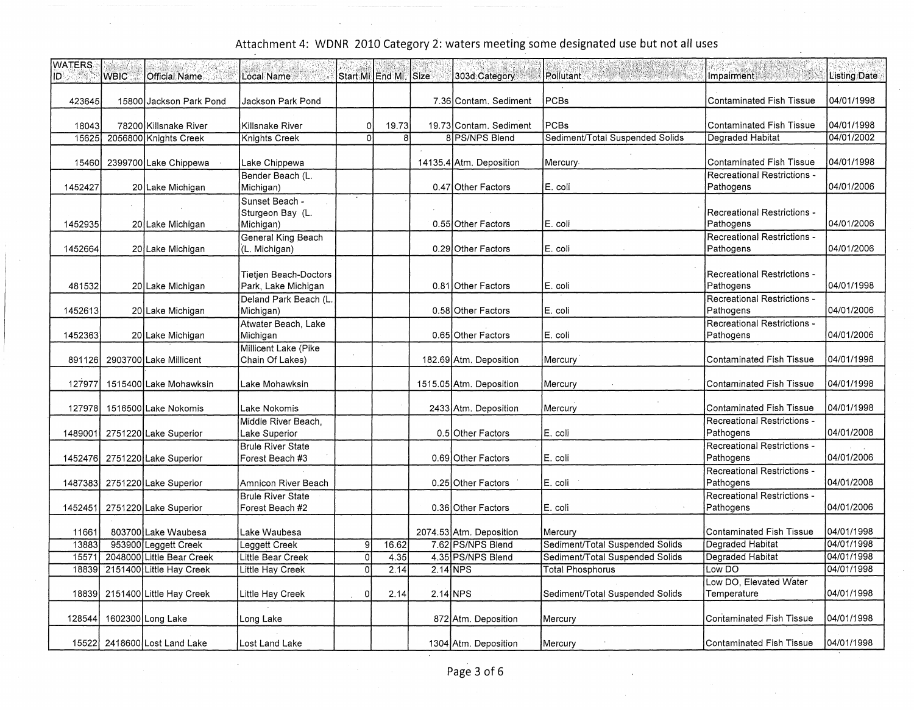| <b>WATERS</b><br>ID. | <b>WBIC</b> | Official Name                | <b>Local Name</b>                                   | Start MillEnd Mill Size |                |          | 303d Category           | Pollutant                       | Impairment                                      | <b>Listing Date</b> |
|----------------------|-------------|------------------------------|-----------------------------------------------------|-------------------------|----------------|----------|-------------------------|---------------------------------|-------------------------------------------------|---------------------|
| 423645               |             | 15800 Jackson Park Pond      | Jackson Park Pond                                   |                         |                |          | 7.36 Contam, Sediment   | PCBs                            | <b>Contaminated Fish Tissue</b>                 | 04/01/1998          |
| 18043                |             | 78200 Killsnake River        | Killsnake River                                     | οl                      | 19.73          |          | 19.73 Contam. Sediment  | PCBs                            | <b>Contaminated Fish Tissue</b>                 | 04/01/1998          |
| 15625                |             | 2056800 Knights Creek        | Knights Creek                                       | $\Omega$                | 8 <sup>1</sup> |          | 8 PS/NPS Blend          | Sediment/Total Suspended Solids | Degraded Habitat                                | 04/01/2002          |
| 15460                |             | 2399700 Lake Chippewa        | Lake Chippewa                                       |                         |                |          | 14135.4 Atm. Deposition | Mercury                         | <b>Contaminated Fish Tissue</b>                 | 04/01/1998          |
| 1452427              |             | 20 Lake Michigan             | Bender Beach (L.<br>Michigan)                       |                         |                |          | 0.47 Other Factors      | E. coli                         | Recreational Restrictions -<br>Pathogens        | 04/01/2006          |
| 1452935              |             | 20 Lake Michigan             | Sunset Beach -<br>Sturgeon Bay (L.<br>Michigan)     |                         |                |          | 0.55 Other Factors      | E. coli                         | Recreational Restrictions -<br>Pathogens        | 04/01/2006          |
| 1452664              |             | 20 Lake Michigan             | General King Beach<br>(L. Michigan)                 |                         |                |          | 0.29 Other Factors      | E. coli                         | Recreational Restrictions -<br>Pathogens        | 04/01/2006          |
| 481532               |             | 20 Lake Michigan             | <b>Tietjen Beach-Doctors</b><br>Park, Lake Michigan |                         |                |          | 0.81 Other Factors      | E. coli                         | Recreational Restrictions -<br>Pathogens        | 04/01/1998          |
| 1452613              |             | 20 Lake Michigan             | Deland Park Beach (L.<br>Michigan)                  |                         |                |          | 0.58 Other Factors      | E. coli                         | <b>Recreational Restrictions -</b><br>Pathogens | 04/01/2006          |
| 1452363              |             | 20 Lake Michigan             | Atwater Beach, Lake<br>Michigan                     |                         |                |          | 0.65 Other Factors      | E. coli                         | Recreational Restrictions -<br>Pathogens        | 04/01/2006          |
| 891126               |             | 2903700 Lake Millicent       | Millicent Lake (Pike<br>Chain Of Lakes)             |                         |                |          | 182.69 Atm. Deposition  | Mercury                         | <b>Contaminated Fish Tissue</b>                 | 04/01/1998          |
| 127977               |             | 1515400 Lake Mohawksin       | Lake Mohawksin                                      |                         |                |          | 1515.05 Atm. Deposition | Mercury                         | <b>Contaminated Fish Tissue</b>                 | 04/01/1998          |
| 127978               |             | 1516500 Lake Nokomis         | Lake Nokomis                                        |                         |                |          | 2433 Atm. Deposition    | Mercury                         | <b>Contaminated Fish Tissue</b>                 | 04/01/1998          |
|                      |             |                              | Middle River Beach,                                 |                         |                |          |                         |                                 | Recreational Restrictions -<br>Pathogens        | 04/01/2008          |
| 1489001              |             | 2751220 Lake Superior        | Lake Superior<br><b>Brule River State</b>           |                         |                |          | 0.5 Other Factors       | E. coli                         | <b>Recreational Restrictions -</b>              |                     |
| 1452476              |             | 2751220 Lake Superior        | Forest Beach #3                                     |                         |                |          | 0.69 Other Factors      | E. coli                         | Pathogens                                       | 04/01/2006          |
|                      |             |                              |                                                     |                         |                |          |                         |                                 | Recreational Restrictions -                     |                     |
| 1487383              |             | 2751220 Lake Superior        | Amnicon River Beach                                 |                         |                |          | 0.25 Other Factors      | E. coli                         | Pathogens                                       | 04/01/2008          |
|                      |             |                              | <b>Brule River State</b>                            |                         |                |          |                         |                                 | Recreational Restrictions -                     |                     |
| 1452451              |             | 2751220 Lake Superior        | Forest Beach #2                                     |                         |                |          | 0.36 Other Factors      | E. coli                         | Pathogens                                       | 04/01/2006          |
| 11661                |             | 803700 Lake Waubesa          | Lake Waubesa                                        |                         |                |          | 2074.53 Atm. Deposition | Mercury                         | Contaminated Fish Tissue                        | 04/01/1998          |
| 13883                |             | 953900 Leggett Creek         | Leggett Creek                                       | 91                      | 16.62          |          | 7.62 PS/NPS Blend       | Sediment/Total Suspended Solids | Degraded Habitat                                | 04/01/1998          |
| 15571                |             | 2048000 Little Bear Creek    | Little Bear Creek                                   | ol                      | 4.35           |          | 4.35 PS/NPS Blend       | Sediment/Total Suspended Solids | <b>Degraded Habitat</b>                         | 04/01/1998          |
| 18839                |             | 2151400 Little Hay Creek     | Little Hay Creek                                    | $\overline{0}$          | 2.14           | 2.14 NPS |                         | <b>Total Phosphorus</b>         | Low DO                                          | 04/01/1998          |
| 18839                |             | 2151400 Little Hay Creek     | Little Hay Creek                                    | οl                      | 2.14           | 2.14 NPS |                         | Sediment/Total Suspended Solids | Low DO, Elevated Water<br>Temperature           | 04/01/1998          |
|                      |             |                              |                                                     |                         |                |          |                         |                                 |                                                 |                     |
| 128544               |             | 1602300 Long Lake            | Long Lake                                           |                         |                |          | 872 Atm. Deposition     | Mercury                         | <b>Contaminated Fish Tissue</b>                 | 04/01/1998          |
|                      |             | 15522 2418600 Lost Land Lake | Lost Land Lake                                      |                         |                |          | 1304 Atm. Deposition    | Mercury                         | <b>Contaminated Fish Tissue</b>                 | 04/01/1998          |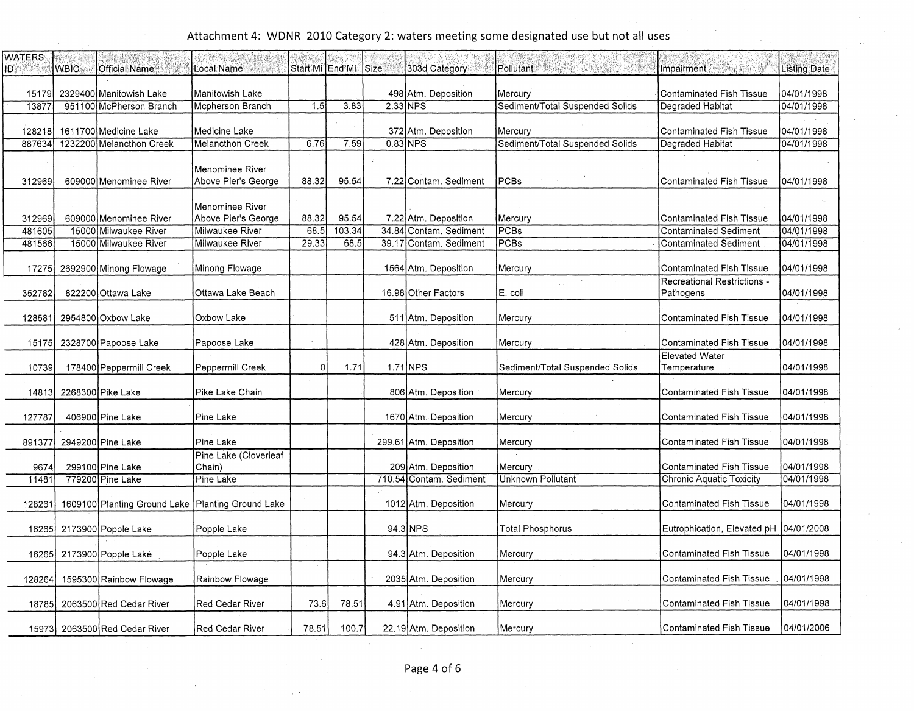| <b>WATERS</b><br><b>ID A STATE</b> | <b>WBIC</b> | <b>Official Name</b>                                | Local Name                                    |          | Start Mi End Mi Size |          | 303d Category           | WARRY PERSONAL<br>Pollutant     | 法确定实施证券<br>Impairment                    | Listing Date |
|------------------------------------|-------------|-----------------------------------------------------|-----------------------------------------------|----------|----------------------|----------|-------------------------|---------------------------------|------------------------------------------|--------------|
| 151791                             |             | 2329400 Manitowish Lake                             | Manitowish Lake                               |          |                      |          | 498 Atm. Deposition     | Mercury                         | <b>Contaminated Fish Tissue</b>          | 04/01/1998   |
| 13877                              |             | 951100 McPherson Branch                             | Mcpherson Branch                              | 1.5      | 3.83                 | 2.33 NPS |                         | Sediment/Total Suspended Solids | Degraded Habitat                         | 04/01/1998   |
|                                    |             |                                                     |                                               |          |                      |          |                         |                                 |                                          |              |
| 128218                             |             | 1611700 Medicine Lake                               | Medicine Lake                                 |          |                      |          | 372 Atm. Deposition     | Mercury                         | Contaminated Fish Tissue                 | 04/01/1998   |
| 887634                             |             | 1232200 Melancthon Creek                            | <b>Melancthon Creek</b>                       | 6.76     | 7.59                 |          | $0.83$ NPS              | Sediment/Total Suspended Solids | Degraded Habitat                         | 04/01/1998   |
| 312969                             |             | 609000 Menominee River                              | <b>Menominee River</b><br>Above Pier's George | 88.32    | 95.54                |          | 7.22 Contam, Sediment   | <b>PCBs</b>                     | <b>Contaminated Fish Tissue</b>          | 04/01/1998   |
| 312969                             |             | 609000 Menominee River                              | Menominee River<br>Above Pier's George        | 88.32    | 95.54                |          | 7.22 Atm. Deposition    | Mercury                         | <b>Contaminated Fish Tissue</b>          | 104/01/1998  |
| 481605                             |             | 15000 Milwaukee River                               | Milwaukee River                               | 68.5     | 103.34               | 34.84    | Contam. Sediment        | PCBs                            | <b>Contaminated Sediment</b>             | 04/01/1998   |
| 481566                             |             | 15000 Milwaukee River                               | Milwaukee River                               | 29.33    | 68.5                 | 39.17    | Contam. Sediment        | <b>PCBs</b>                     | <b>Contaminated Sediment</b>             | 04/01/1998   |
| 17275                              |             | 2692900 Minong Flowage                              | Minong Flowage                                |          |                      |          | 1564 Atm. Deposition    | Mercury                         | Contaminated Fish Tissue                 | 04/01/1998   |
| 352782                             |             | 822200 Ottawa Lake                                  | Ottawa Lake Beach                             |          |                      |          | 16.98 Other Factors     | E. coli                         | Recreational Restrictions -<br>Pathogens | 04/01/1998   |
| 128581                             |             | 2954800 Oxbow Lake                                  | Oxbow Lake                                    |          |                      |          | 511 Atm. Deposition     | Mercury                         | Contaminated Fish Tissue                 | 04/01/1998   |
| 15175                              |             | 2328700 Papoose Lake                                | Papoose Lake                                  |          |                      |          | 428 Atm. Deposition     | Mercury                         | Contaminated Fish Tissue                 | 04/01/1998   |
| 10739                              |             | 178400 Peppermill Creek                             | Peppermill Creek                              | $\Omega$ | 1.71                 |          | 1.71 NPS                | Sediment/Total Suspended Solids | <b>Elevated Water</b><br>Temperature     | 04/01/1998   |
| 14813                              |             | 2268300 Pike Lake                                   | Pike Lake Chain                               |          |                      |          | 806 Atm. Deposition     | Mercury                         | Contaminated Fish Tissue                 | 04/01/1998   |
| 127787                             |             | 406900 Pine Lake                                    | Pine Lake                                     |          |                      |          | 1670 Atm. Deposition    | Mercury                         | <b>Contaminated Fish Tissue</b>          | 04/01/1998   |
| 891377                             |             | 2949200 Pine Lake                                   | Pine Lake                                     |          |                      |          | 299.61 Atm. Deposition  | Mercury                         | <b>Contaminated Fish Tissue</b>          | 04/01/1998   |
| 9674                               |             | 299100 Pine Lake                                    | Pine Lake (Cloverleaf<br>Chain)               |          |                      |          | 209 Atm. Deposition     | Mercury                         | <b>Contaminated Fish Tissue</b>          | 04/01/1998   |
| 1148'                              |             | 779200 Pine Lake                                    | Pine Lake                                     |          |                      |          | 710.54 Contam. Sediment | <b>Unknown Pollutant</b>        | <b>Chronic Aquatic Toxicity</b>          | 04/01/1998   |
| 128261                             |             | 1609100 Planting Ground Lake   Planting Ground Lake |                                               |          |                      |          | 1012 Atm. Deposition    | Mercury                         | Contaminated Fish Tissue                 | 04/01/1998   |
| 16265                              |             | 2173900 Popple Lake                                 | Popple Lake                                   |          |                      |          | 94.3 NPS                | Total Phosphorus                | Eutrophication, Elevated pH   04/01/2008 |              |
| 16265                              |             | 2173900 Popple Lake                                 | Popple Lake                                   |          |                      |          | 94.3 Atm. Deposition    | Mercury                         | Contaminated Fish Tissue                 | 04/01/1998   |
| 128264                             |             | 1595300 Rainbow Flowage                             | Rainbow Flowage                               |          |                      |          | 2035 Atm. Deposition    | Mercury                         | <b>Contaminated Fish Tissue</b>          | 04/01/1998   |
| 18785                              |             | 2063500 Red Cedar River                             | Red Cedar River                               | 73.6     | 78.51                |          | 4.91 Atm. Deposition    | Mercury                         | <b>Contaminated Fish Tissue</b>          | 04/01/1998   |
| 15973                              |             | 2063500 Red Cedar River                             | Red Cedar River                               | 78.51    | 100.7                |          | 22.19 Atm. Deposition   | Mercury                         | <b>Contaminated Fish Tissue</b>          | 04/01/2006   |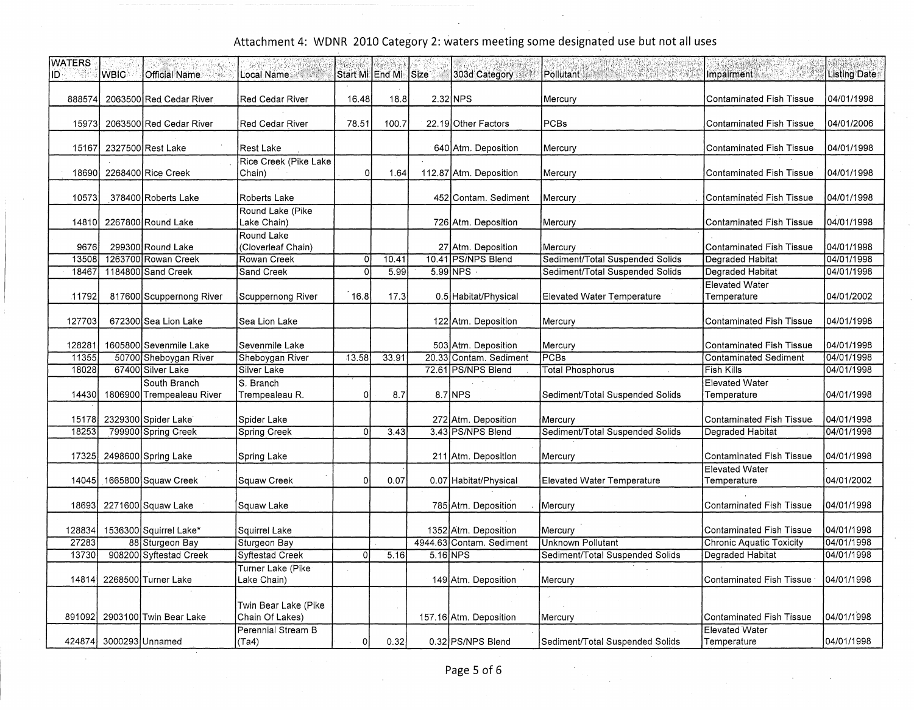| <b>WATERS</b><br>ÎD | <b>WBIC</b>     | <b>Official Name</b>      | Local Name                              | Start Mi lEnd Mi | $\frac{1}{2}$ | Size     | 303d Category            | Pollutant                         | Impairment                           | Listing Date |
|---------------------|-----------------|---------------------------|-----------------------------------------|------------------|---------------|----------|--------------------------|-----------------------------------|--------------------------------------|--------------|
| 888574              |                 | 2063500 Red Cedar River   | <b>Red Cedar River</b>                  | 16.48            | 18.8          |          | 2.32 NPS                 | Mercury                           | Contaminated Fish Tissue             | 04/01/1998   |
| 15973               |                 | 2063500 Red Cedar River   | <b>Red Cedar River</b>                  | 78.51            | 100.7         |          | 22.19 Other Factors      | <b>PCBs</b>                       | <b>Contaminated Fish Tissue</b>      | 04/01/2006   |
| 15167               |                 | 2327500 Rest Lake         | <b>Rest Lake</b>                        |                  |               |          | 640 Atm. Deposition      | Mercury                           | <b>Contaminated Fish Tissue</b>      | 04/01/1998   |
| 18690               |                 | 2268400 Rice Creek        | Rice Creek (Pike Lake<br>Chain)         | $\Omega$         | 1.64          |          | 112.87 Atm. Deposition   | Mercury                           | <b>Contaminated Fish Tissue</b>      | 04/01/1998   |
| 10573               |                 | 378400 Roberts Lake       | Roberts Lake                            |                  |               |          | 452 Contam, Sediment     | Mercury                           | <b>Contaminated Fish Tissue</b>      | 04/01/1998   |
| 14810               |                 | 2267800 Round Lake        | Round Lake (Pike<br>Lake Chain)         |                  |               |          | 726 Atm. Deposition      | Mercury                           | <b>Contaminated Fish Tissue</b>      | 04/01/1998   |
| 9676                |                 | 299300 Round Lake         | Round Lake<br>(Cloverleaf Chain)        |                  |               |          | 27 Atm. Deposition       | Mercury                           | <b>Contaminated Fish Tissue</b>      | 04/01/1998   |
| 13508               |                 | 1263700 Rowan Creek       | Rowan Creek                             | Οl               | 10.41         |          | 10.41 PS/NPS Blend       | Sediment/Total Suspended Solids   | <b>Degraded Habitat</b>              | 04/01/1998   |
| 18467               |                 | 1184800 Sand Creek        | Sand Creek                              | $\Omega$         | 5.99          |          | 5.99 NPS                 | Sediment/Total Suspended Solids   | Degraded Habitat                     | 04/01/1998   |
| 11792               |                 | 817600 Scuppernong River  | Scuppernong River                       | 16.8             | 17.3          |          | 0.5 Habitat/Physical     | <b>Elevated Water Temperature</b> | <b>Elevated Water</b><br>Temperature | 04/01/2002   |
| 127703              |                 | 672300 Sea Lion Lake      | Sea Lion Lake                           |                  |               |          | 122 Atm. Deposition      | Mercury                           | <b>Contaminated Fish Tissue</b>      | 04/01/1998   |
| 128281              |                 | 1605800 Sevenmile Lake    | Sevenmile Lake                          |                  |               |          | 503 Atm. Deposition      | Mercury                           | <b>Contaminated Fish Tissue</b>      | 04/01/1998   |
| 11355               |                 | 50700 Sheboygan River     | Sheboygan River                         | 13.58            | 33.91         |          | 20.33 Contam. Sediment   | PCBs                              | <b>Contaminated Sediment</b>         | 04/01/1998   |
| 18028               |                 | 67400 Silver Lake         | Silver Lake                             |                  |               |          | 72.61 PS/NPS Blend       | <b>Total Phosphorus</b>           | <b>Fish Kills</b>                    | 04/01/1998   |
|                     |                 | South Branch              | S. Branch                               |                  |               |          |                          |                                   | <b>Elevated Water</b>                |              |
| 14430               |                 | 1806900 Trempealeau River | Trempealeau R.                          | οI               | 8.7           |          | $8.7$ NPS                | Sediment/Total Suspended Solids   | Temperature                          | 04/01/1998   |
| 15178               |                 | 2329300 Spider Lake       | Spider Lake                             |                  |               |          | 272 Atm. Deposition      | Mercury                           | Contaminated Fish Tissue             | 04/01/1998   |
| 18253               |                 | 799900 Spring Creek       | Spring Creek                            | οI               | 3.43          |          | 3.43 PS/NPS Blend        | Sediment/Total Suspended Solids   | <b>Degraded Habitat</b>              | 04/01/1998   |
|                     |                 |                           |                                         |                  |               |          |                          |                                   |                                      |              |
| 17325               |                 | 2498600 Spring Lake       | Spring Lake                             |                  |               |          | 211 Atm. Deposition      | Mercury                           | <b>Contaminated Fish Tissue</b>      | 04/01/1998   |
|                     |                 |                           |                                         |                  |               |          |                          |                                   | <b>Elevated Water</b>                |              |
| 14045               |                 | 1665800 Squaw Creek       | Squaw Creek                             | οl               | 0.07          |          | 0.07 Habitat/Physical    | <b>Elevated Water Temperature</b> | Temperature                          | 04/01/2002   |
| 18693               |                 | 2271600 Squaw Lake        | Squaw Lake                              |                  |               |          | 785 Atm. Deposition      | Mercury)                          | Contaminated Fish Tissue             | 04/01/1998   |
| 128834              |                 | 1536300 Squirrel Lake*    | Squirrel Lake                           |                  |               |          | 1352 Atm. Deposition     | Mercury                           | <b>Contaminated Fish Tissue</b>      | 04/01/1998   |
| 27283               |                 | 88 Sturgeon Bay           | Sturgeon Bay                            |                  |               |          | 4944.63 Contam. Sediment | <b>Unknown Pollutant</b>          | <b>Chronic Aquatic Toxicity</b>      | 04/01/1998   |
| 13730               |                 | 908200 Syftestad Creek    | Syftestad Creek                         | Ωl               | 5.16          | 5.16 NPS |                          | Sediment/Total Suspended Solids   | Degraded Habitat                     | 04/01/1998   |
|                     |                 |                           |                                         |                  |               |          |                          |                                   |                                      |              |
| 14814               |                 | 2268500 Turner Lake       | Turner Lake (Pike<br>Lake Chain)        |                  |               |          | 149 Atm. Deposition      | Mercury                           | <b>Contaminated Fish Tissue</b>      | 04/01/1998   |
|                     |                 |                           |                                         |                  |               |          |                          |                                   |                                      |              |
| 891092              |                 | 2903100 Twin Bear Lake    | Twin Bear Lake (Pike<br>Chain Of Lakes) |                  |               |          | 157.16 Atm. Deposition   | Mercury                           | <b>Contaminated Fish Tissue</b>      | 04/01/1998   |
|                     |                 |                           | Perennial Stream B                      |                  |               |          |                          |                                   | <b>Elevated Water</b>                |              |
| 424874              | 3000293 Unnamed |                           | (Ta4)                                   | $\circ$          | 0.32          |          | 0.32 PS/NPS Blend        | Sediment/Total Suspended Solids   | Temperature                          | 04/01/1998   |